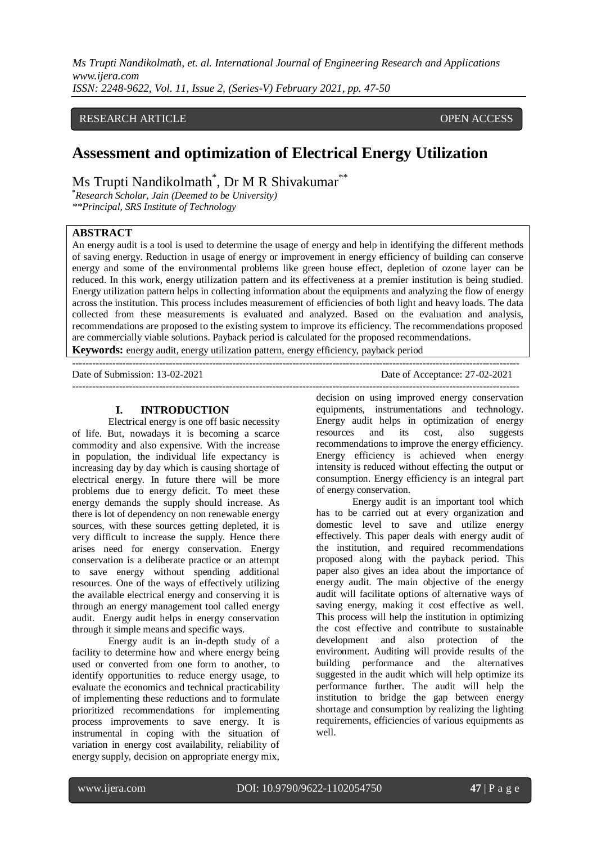*Ms Trupti Nandikolmath, et. al. International Journal of Engineering Research and Applications www.ijera.com*

*ISSN: 2248-9622, Vol. 11, Issue 2, (Series-V) February 2021, pp. 47-50*

# RESEARCH ARTICLE **CONSERVERS** OPEN ACCESS

# **Assessment and optimization of Electrical Energy Utilization**

Ms Trupti Nandikolmath<sup>\*</sup>, Dr M R Shivakumar<sup>\*\*</sup>

**\****Research Scholar, Jain (Deemed to be University) \*\*Principal, SRS Institute of Technology*

# **ABSTRACT**

An energy audit is a tool is used to determine the usage of energy and help in identifying the different methods of saving energy. Reduction in usage of energy or improvement in energy efficiency of building can conserve energy and some of the environmental problems like green house effect, depletion of ozone layer can be reduced. In this work, energy utilization pattern and its effectiveness at a premier institution is being studied. Energy utilization pattern helps in collecting information about the equipments and analyzing the flow of energy across the institution. This process includes measurement of efficiencies of both light and heavy loads. The data collected from these measurements is evaluated and analyzed. Based on the evaluation and analysis, recommendations are proposed to the existing system to improve its efficiency. The recommendations proposed are commercially viable solutions. Payback period is calculated for the proposed recommendations. **Keywords:** energy audit, energy utilization pattern, energy efficiency, payback period

--------------------------------------------------------------------------------------------------------------------------------------

--------------------------------------------------------------------------------------------------------------------------------------

#### Date of Submission: 13-02-2021 Date of Acceptance: 27-02-2021

#### **I. INTRODUCTION**

Electrical energy is one off basic necessity of life. But, nowadays it is becoming a scarce commodity and also expensive. With the increase in population, the individual life expectancy is increasing day by day which is causing shortage of electrical energy. In future there will be more problems due to energy deficit. To meet these energy demands the supply should increase. As there is lot of dependency on non renewable energy sources, with these sources getting depleted, it is very difficult to increase the supply. Hence there arises need for energy conservation. Energy conservation is a deliberate practice or an attempt to save energy without spending additional resources. One of the ways of effectively utilizing the available electrical energy and conserving it is through an energy management tool called energy audit. Energy audit helps in energy conservation through it simple means and specific ways.

Energy audit is an in-depth study of a facility to determine how and where energy being used or converted from one form to another, to identify opportunities to reduce energy usage, to evaluate the economics and technical practicability of implementing these reductions and to formulate prioritized recommendations for implementing process improvements to save energy. It is instrumental in coping with the situation of variation in energy cost availability, reliability of energy supply, decision on appropriate energy mix,

decision on using improved energy conservation equipments, instrumentations and technology. Energy audit helps in optimization of energy resources and its cost, also suggests recommendations to improve the energy efficiency. Energy efficiency is achieved when energy intensity is reduced without effecting the output or consumption. Energy efficiency is an integral part of energy conservation.

Energy audit is an important tool which has to be carried out at every organization and domestic level to save and utilize energy effectively. This paper deals with energy audit of the institution, and required recommendations proposed along with the payback period. This paper also gives an idea about the importance of energy audit. The main objective of the energy audit will facilitate options of alternative ways of saving energy, making it cost effective as well. This process will help the institution in optimizing the cost effective and contribute to sustainable development and also protection of the environment. Auditing will provide results of the building performance and the alternatives suggested in the audit which will help optimize its performance further. The audit will help the institution to bridge the gap between energy shortage and consumption by realizing the lighting requirements, efficiencies of various equipments as well.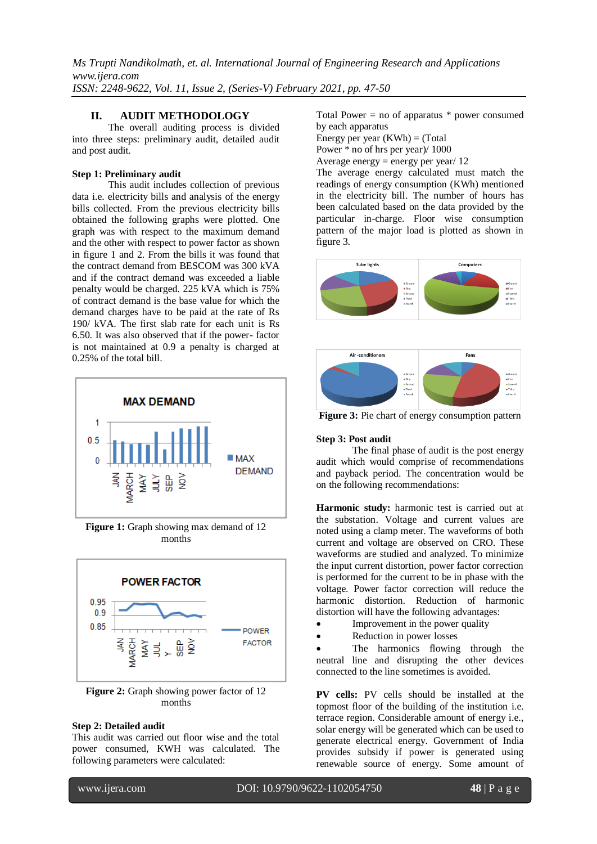*Ms Trupti Nandikolmath, et. al. International Journal of Engineering Research and Applications www.ijera.com ISSN: 2248-9622, Vol. 11, Issue 2, (Series-V) February 2021, pp. 47-50*

# **II. AUDIT METHODOLOGY**

The overall auditing process is divided into three steps: preliminary audit, detailed audit and post audit.

### **Step 1: Preliminary audit**

This audit includes collection of previous data i.e. electricity bills and analysis of the energy bills collected. From the previous electricity bills obtained the following graphs were plotted. One graph was with respect to the maximum demand and the other with respect to power factor as shown in figure 1 and 2. From the bills it was found that the contract demand from BESCOM was 300 kVA and if the contract demand was exceeded a liable penalty would be charged. 225 kVA which is 75% of contract demand is the base value for which the demand charges have to be paid at the rate of Rs 190/ kVA. The first slab rate for each unit is Rs 6.50. It was also observed that if the power- factor is not maintained at 0.9 a penalty is charged at 0.25% of the total bill.



**Figure 1:** Graph showing max demand of 12 months



**Figure 2:** Graph showing power factor of 12 months

### **Step 2: Detailed audit**

This audit was carried out floor wise and the total power consumed, KWH was calculated. The following parameters were calculated:

Total Power  $=$  no of apparatus  $*$  power consumed by each apparatus

Energy per year  $(KWh) = (Total)$ 

Power \* no of hrs per year)/ 1000

Average energy = energy per year/  $12$ 

The average energy calculated must match the readings of energy consumption (KWh) mentioned in the electricity bill. The number of hours has been calculated based on the data provided by the particular in-charge. Floor wise consumption pattern of the major load is plotted as shown in figure 3.





**Figure 3:** Pie chart of energy consumption pattern

# **Step 3: Post audit**

The final phase of audit is the post energy audit which would comprise of recommendations and payback period. The concentration would be on the following recommendations:

**Harmonic study:** harmonic test is carried out at the substation. Voltage and current values are noted using a clamp meter. The waveforms of both current and voltage are observed on CRO. These waveforms are studied and analyzed. To minimize the input current distortion, power factor correction is performed for the current to be in phase with the voltage. Power factor correction will reduce the harmonic distortion. Reduction of harmonic distortion will have the following advantages:

- Improvement in the power quality
- Reduction in power losses

 The harmonics flowing through the neutral line and disrupting the other devices connected to the line sometimes is avoided.

**PV cells:** PV cells should be installed at the topmost floor of the building of the institution i.e. terrace region. Considerable amount of energy i.e., solar energy will be generated which can be used to generate electrical energy. Government of India provides subsidy if power is generated using renewable source of energy. Some amount of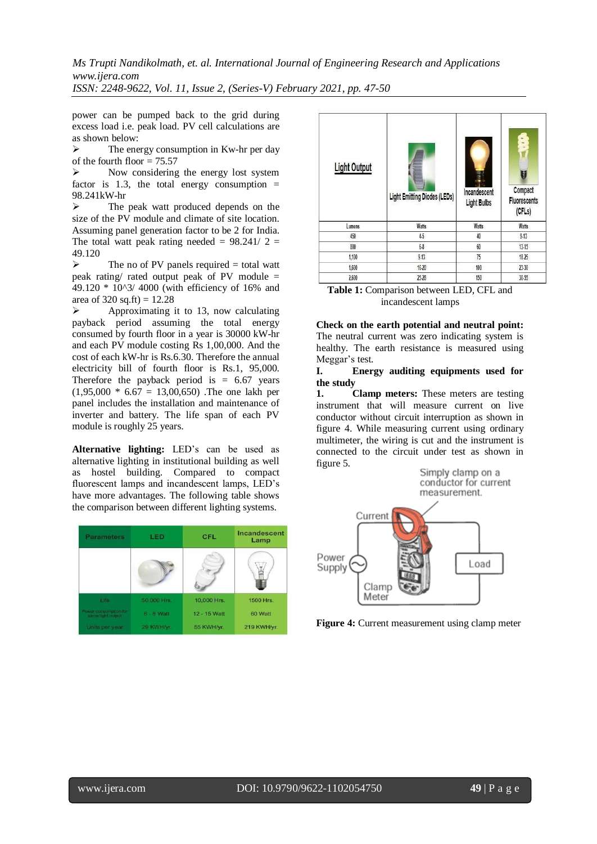*Ms Trupti Nandikolmath, et. al. International Journal of Engineering Research and Applications www.ijera.com*

*ISSN: 2248-9622, Vol. 11, Issue 2, (Series-V) February 2021, pp. 47-50*

power can be pumped back to the grid during excess load i.e. peak load. PV cell calculations are as shown below:

 $\triangleright$  The energy consumption in Kw-hr per day of the fourth floor  $= 75.57$ 

 $\triangleright$  Now considering the energy lost system factor is 1.3, the total energy consumption  $=$ 98.241kW-hr

 $\triangleright$  The peak watt produced depends on the size of the PV module and climate of site location. Assuming panel generation factor to be 2 for India. The total watt peak rating needed =  $98.241/2$  = 49.120

 $\triangleright$  The no of PV panels required = total watt peak rating/ rated output peak of PV module = 49.120 \* 10^3/ 4000 (with efficiency of 16% and area of 320 sq.ft) =  $12.28$ 

 $\triangleright$  Approximating it to 13, now calculating payback period assuming the total energy consumed by fourth floor in a year is 30000 kW-hr and each PV module costing Rs 1,00,000. And the cost of each kW-hr is Rs.6.30. Therefore the annual electricity bill of fourth floor is Rs.1, 95,000. Therefore the payback period is  $= 6.67$  years  $(1,95,000 * 6.67 = 13,00,650)$ . The one lakh per panel includes the installation and maintenance of inverter and battery. The life span of each PV module is roughly 25 years.

**Alternative lighting:** LED's can be used as alternative lighting in institutional building as well as hostel building. Compared to compact fluorescent lamps and incandescent lamps, LED's have more advantages. The following table shows the comparison between different lighting systems.

| <b>Parameters</b>                                                   | LED                        | <b>CFL</b>                 | Incandescent<br>Lamp   |
|---------------------------------------------------------------------|----------------------------|----------------------------|------------------------|
|                                                                     |                            |                            |                        |
| Life                                                                | 50,000 Hrs.                | 10,000 Hrs.                | 1500 Hrs.              |
| <b>Rower consumption for</b><br>same light output<br>Units per year | $6 - 8$ Watt<br>29 KWH/vr. | 12 - 15 Watt<br>55 KWH/yr. | 60 Watt<br>219 KWH/yr. |

| <b>Light Output</b> | <b>Light Emitting Diodes (LEDs)</b> | Incandescent<br><b>Light Bulbs</b> | U<br>Compact<br><b>Fluorescents</b><br>(CFLs) |
|---------------------|-------------------------------------|------------------------------------|-----------------------------------------------|
| Lumens              | Watts                               | <b>Watts</b>                       | Watts                                         |
| 450                 | 45                                  | 40                                 | 9.13                                          |
| 800                 | $6-8$                               | 60                                 | 13.15                                         |
| 1,100               | 9.13                                | 75                                 | 18-25                                         |
| 1,600               | $16 - 20$                           | 100                                | 23.30                                         |
| 2,600               | 25-28                               | 150                                | 30-55                                         |

**Table 1:** Comparison between LED, CFL and incandescent lamps

**Check on the earth potential and neutral point:**  The neutral current was zero indicating system is healthy. The earth resistance is measured using Meggar's test.

#### **I. Energy auditing equipments used for the study**

**1. Clamp meters:** These meters are testing instrument that will measure current on live conductor without circuit interruption as shown in figure 4. While measuring current using ordinary multimeter, the wiring is cut and the instrument is connected to the circuit under test as shown in figure 5.



**Figure 4:** Current measurement using clamp meter